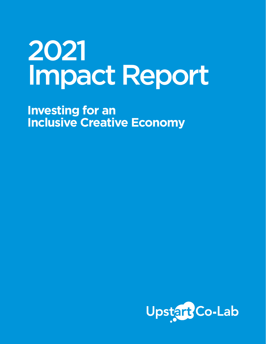# 2021 Impact Report

**Investing for an Inclusive Creative Economy**

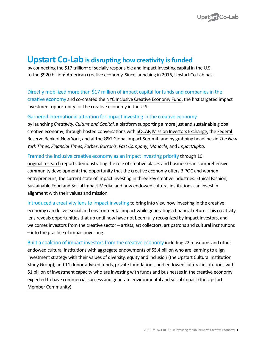

# **Upstart Co-Lab is disrupting how creativity is funded**

by connecting the \$17 trillion<sup>1</sup> of socially responsible and impact investing capital in the U.S. to the \$920 billion<sup>2</sup> American creative economy. Since launching in 2016, Upstart Co-Lab has:

#### Directly mobilized more than \$17 million of impact capital for funds and companies in the

creative economy and co-created the [NYC Inclusive Creative Economy Fund](https://www.lisc.org/nyc/what-we-do/economic-development/inclusive-creative-economy-fund/?mc_cid=32fb43a467&mc_eid=UNIQID), the first targeted impact investment opportunity for the creative economy in the U.S.

#### Garnered international attention for impact investing in the creative economy

by launching *[Creativity, Culture and Capital](https://www.creativityculturecapital.org/?mc_cid=32fb43a467&mc_eid=UNIQID)*, a platform supporting a more just and sustainable global creative economy; through hosted conversations with [SOCAP](https://youtu.be/aZM3sJPcezY), [Mission Investors Exchange,](https://missioninvestors.org/resources/impact-investing-and-arts-how-museums-and-cultural-institutions-invest-their-values?mc_cid=32fb43a467&mc_eid=UNIQID) [the Federal](https://www.newyorkfed.org/newsevents/events/regional_outreach/2020/1016-2020?mc_cid=6b3e4e6c69&mc_eid=%5BUNIQID%5D&mc_cid=6b3e4e6c69&mc_eid=%5BUNIQID%5D&mc_cid=32fb43a467&mc_eid=UNIQID)  [Reserve Bank of New York,](https://www.newyorkfed.org/newsevents/events/regional_outreach/2020/1016-2020?mc_cid=6b3e4e6c69&mc_eid=%5BUNIQID%5D&mc_cid=6b3e4e6c69&mc_eid=%5BUNIQID%5D&mc_cid=32fb43a467&mc_eid=UNIQID) and at the [GSG Global Impact Summit;](https://www.youtube.com/watch?v=BA3-DViI_28&mc_cid=6b3e4e6c69&mc_eid=%5BUNIQID%5D&mc_cid=32fb43a467&mc_eid=UNIQID) and by grabbing headlines in *[The New](https://www.nytimes.com/2018/10/19/your-money/impact-investing-art-funding.html?mc_cid=32fb43a467&mc_eid=UNIQID)  [York Times](https://www.nytimes.com/2018/10/19/your-money/impact-investing-art-funding.html?mc_cid=32fb43a467&mc_eid=UNIQID)*, *[Financial Times](https://www.upstartco-lab.org/wp-content/uploads/2019/09/Museums-should-lead-in-socially-responsible-investing-_-Financial-Times.pdf?mc_cid=32fb43a467&mc_eid=UNIQID)*, *[Forbes](https://www.forbes.com/sites/elizabethmacbride/2020/08/31/amid-this-years-struggle-new-and-tougher-companies-are-born-in-the-900m-arts-economy/?sh=189f4abd269c&mc_cid=32fb43a467&mc_eid=UNIQID)*, *[Barron's](https://www.barrons.com/articles/investing-in-the-creative-economy-is-a-boon-to-artists-and-communities-51585418400?mc_cid=32fb43a467&mc_eid=UNIQID)*, *[Fast Company](https://upstartco-lab.org/wp-content/uploads/2017/10/fastcompany.com-Why-Impact-Investing-Funds-Need-To-Invest-In-Creativity.pdf)*, *[Monocle](https://upstartco-lab.org/wp-content/uploads/2018/12/forecast_investors-doing-good.pdf)*, and *[ImpactAlpha](https://www.upstartco-lab.org/wp-content/uploads/2020/12/Cultural-institutions-start-to-put-their-assets-to-work-for-mission-Impact-Alpha.pdf?mc_cid=32fb43a467&mc_eid=UNIQID)*.

Framed the inclusive creative economy as an impact investing priority through 10 [original research](https://upstartco-lab.org/resources/) reports demonstrating the role of creative places and businesses in comprehensive community development; the opportunity that the creative economy offers BIPOC and women entrepreneurs; the current state of impact investing in three key creative industries: Ethical Fashion, Sustainable Food and Social Impact Media; and how endowed cultural institutions can invest in alignment with their values and mission.

Introduced a creativity lens to impact investing to bring into view how investing in the creative economy can deliver social and environmental impact while generating a financial return. This creativity lens reveals opportunities that up until now have not been fully recognized by impact investors, and welcomes investors from the creative sector – artists, art collectors, art patrons and cultural institutions – into the practice of impact investing.

Built a coalition of impact investors from the creative economy including 22 museums and other endowed cultural institutions with aggregate endowments of \$5.4 billion who are learning to align investment strategy with their values of diversity, equity and inclusion (the Upstart Cultural Institution Study Group); and 11 donor-advised funds, private foundations, and endowed cultural institutions with \$1 billion of investment capacity who are investing with funds and businesses in the creative economy expected to have commercial success and generate environmental and social impact (the Upstart [Member Community\)](https://upstartco-lab.org/member-community/).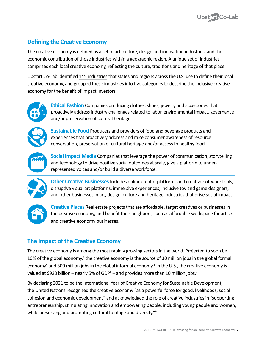

# **Defining the Creative Economy**

The creative economy is defined as a set of art, culture, design and innovation industries, and the economic contribution of those industries within a geographic region. A unique set of industries comprises each local creative economy, reflecting the culture, traditions and heritage of that place.

Upstart Co-Lab identified [145 industries](https://upstartco-lab.org/creativity_lens/naics-codes-creative-businesses/) that states and regions across the U.S. use to define their local creative economy, and grouped these industries into five categories to describe the inclusive creative economy for the benefit of impact investors:



**Ethical Fashion** Companies producing clothes, shoes, jewelry and accessories that proactively address industry challenges related to labor, environmental impact, governance and/or preservation of cultural heritage.



**Sustainable Food** Producers and providers of food and beverage products and experiences that proactively address and raise consumer awareness of resource conservation, preservation of cultural heritage and/or access to healthy food.



**Social Impact Media** Companies that leverage the power of communication, storytelling and technology to drive positive social outcomes at scale, give a platform to underrepresented voices and/or build a diverse workforce.



**Other Creative Businesses** Includes online creator platforms and creative software tools, disruptive visual art platforms, immersive experiences, inclusive toy and game designers, and other businesses in art, design, culture and heritage industries that drive social impact.



**Creative Places** Real estate projects that are affordable, target creatives or businesses in the creative economy, and benefit their neighbors, such as affordable workspace for artists and creative economy businesses.

# **The Impact of the Creative Economy**

The creative economy is among the most rapidly growing sectors in the world. Projected to soon be 10% of the global economy,<sup>3</sup> the creative economy is the source of 30 million jobs in the global formal economy<sup>4</sup> and 300 million jobs in the global informal economy.<sup>5</sup> In the U.S., the creative economy is valued at \$920 billion – nearly 5% of GDP<sup>6</sup> – and provides more than 10 million jobs.<sup>7</sup>

By declaring 2021 to be the International Year of Creative Economy for Sustainable Development, the United Nations recognized the creative economy "as a powerful force for good, livelihoods, social cohesion and economic development" and acknowledged the role of creative industries in "supporting entrepreneurship, stimulating innovation and empowering people, including young people and women, while preserving and promoting cultural heritage and diversity."<sup>8</sup>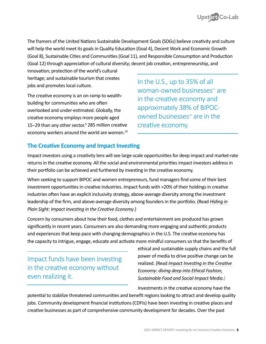

The framers of the United Nations Sustainable Development Goals (SDGs) believe creativity and culture will help the world meet its goals in Quality Education (Goal 4), Decent Work and Economic Growth (Goal 8), Sustainable Cities and Communities (Goal 11), and Responsible Consumption and Production (Goal 12) through appreciation of cultural diversity; decent job creation, entrepreneurship, and

innovation; protection of the world's cultural heritage; and sustainable tourism that creates jobs and promotes local culture.

The creative economy is an on-ramp to wealthbuilding for communities who are often overlooked and under-estimated. Globally, the creative economy employs more people aged 15−29 than any other sector.<sup>9</sup> 285 million creative economy workers around the world are women.<sup>10</sup> In the U.S., up to 35% of all woman-owned businesses $11$  are in the creative economy and approximately 38% of BIPOCowned businesses $12$  are in the creative economy.

# **The Creative Economy and Impact Investing**

Impact investors using a creativity lens will see large-scale opportunities for deep impact and market-rate returns in the creative economy. All the social and environmental priorities impact investors address in their portfolio can be achieved and furthered by investing in the creative economy.

When seeking to support BIPOC and women entrepreneurs, fund managers find some of their best investment opportunities in creative industries. Impact funds with >20% of their holdings in creative industries often have an explicit inclusivity strategy, above-average diversity among the investment leadership of the firm, and above-average diversity among founders in the portfolio. (Read *[Hiding in](https://upstartco-lab.org/hiding-in-plain-sight/)  [Plain Sight: Impact Investing in the Creative Economy](https://upstartco-lab.org/hiding-in-plain-sight/)*.)

Concern by consumers about how their food, clothes and entertainment are produced has grown significantly in recent years. Consumers are also demanding more engaging and authentic products and experiences that keep pace with changing demographics in the U.S. The creative economy has the capacity to intrigue, engage, educate and activate more mindful consumers so that the benefits of

Impact funds have been investing in the creative economy without even realizing it.

ethical and sustainable supply chains and the full power of media to drive positive change can be realized. (Read *[Impact Investing in the Creative](https://www.upstartco-lab.org/deep-dives)  [Economy: diving deep into Ethical Fashion,](https://www.upstartco-lab.org/deep-dives)  [Sustainable Food and Social Impact Media](https://www.upstartco-lab.org/deep-dives)*.)

Investments in the creative economy have the

potential to stabilize threatened communities and benefit regions looking to attract and develop quality jobs. Community development financial institutions (CDFIs) have been investing in creative places and creative businesses as part of comprehensive community development for decades. Over the past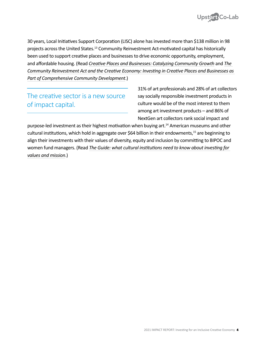

30 years, Local Initiatives Support Corporation (LISC) alone has invested more than \$138 million in 98 projects across the United States.<sup>13</sup> Community Reinvestment Act-motivated capital has historically been used to support creative places and businesses to drive economic opportunity, employment, and affordable housing. (Read *[Creative Places and Businesses: Catalyzing Community Growth](https://upstartco-lab.org/research/)* and *[The](https://www.frbsf.org/community-development/files/The-Community-Reinvestment-Act-and-the-Creative-Economy.pdf)  [Community Reinvestment Act and the Creative Economy: Investing in Creative Places and Businesses as](https://www.frbsf.org/community-development/files/The-Community-Reinvestment-Act-and-the-Creative-Economy.pdf)  [Part of Comprehensive Community Development](https://www.frbsf.org/community-development/files/The-Community-Reinvestment-Act-and-the-Creative-Economy.pdf)*.)

The creative sector is a new source of impact capital.

31% of art professionals and 28% of art collectors say socially responsible investment products in culture would be of the most interest to them among art investment products – and 86% of NextGen art collectors rank social impact and

purpose-led investment as their highest motivation when buying art.<sup>14</sup> American museums and other cultural institutions, which hold in aggregate over \$64 billion in their endowments,<sup>15</sup> are beginning to align their investments with their values of diversity, equity and inclusion by committing to BIPOC and women fund managers. (Read *[The Guide: what cultural institutions need to know about investing for](https://upstartco-lab.org/what-cultural-institutions-need-to-know-about-imp-inv/)  [values and mission](https://upstartco-lab.org/what-cultural-institutions-need-to-know-about-imp-inv/)*.)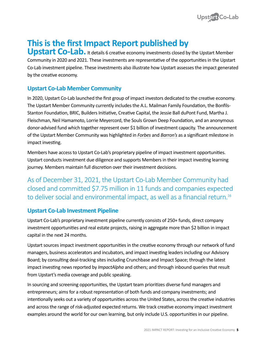

# **This is the first Impact Report published by**

**Upstart Co-Lab.** It details 6 creative economy investments closed by the Upstart Member Community in 2020 and 2021. These investments are representative of the opportunities in the Upstart Co-Lab investment pipeline. These investments also illustrate how Upstart assesses the impact generated by the creative economy.

# **Upstart Co-Lab Member Community**

In 2020, Upstart Co-Lab launched the first group of impact investors dedicated to the creative economy. The Upstart Member Community currently includes the A.L. Mailman Family Foundation, the Bonfils-Stanton Foundation, BRIC, Builders Initiative, Creative Capital, the Jessie Ball duPont Fund, Martha J. Fleischman, Neil Hamamoto, Lorrie Meyercord, the Souls Grown Deep Foundation, and an anonymous donor-advised fund which together represent over \$1 billion of investment capacity. The announcement of the Upstart Member Community was highlighted in *[Forbes](https://www.forbes.com/sites/annefield/2020/06/30/upstart-co-labs-member-community-1b-of-impact-investing-capacity-for-the-creative-economy/?sh=5478e7dd7e38)* and *[Barron's](https://www.barrons.com/articles/upstart-co-lab-creates-member-coalition-to-spur-creative-economy-01593025276)* as a significant milestone in impact investing.

Members have access to Upstart Co-Lab's proprietary pipeline of impact investment opportunities. Upstart conducts investment due diligence and supports Members in their impact investing learning journey. Members maintain full discretion over their investment decisions.

As of December 31, 2021, the Upstart Co-Lab Member Community had closed and committed \$7.75 million in 11 funds and companies expected to deliver social and environmental impact, as well as a financial return.<sup>16</sup>

# **Upstart Co-Lab Investment Pipeline**

Upstart Co-Lab's proprietary investment pipeline currently consists of 250+ funds, direct company investment opportunities and real estate projects, raising in aggregate more than \$2 billion in impact capital in the next 24 months.

Upstart sources impact investment opportunities in the creative economy through our network of fund managers, business accelerators and incubators, and impact investing leaders including our Advisory Board; by consulting deal-tracking sites including Crunchbase and Impact Space; through the latest impact investing news reported by *ImpactAlpha* and others; and through inbound queries that result from Upstart's media coverage and public speaking.

In sourcing and screening opportunities, the Upstart team prioritizes diverse fund managers and entrepreneurs; aims for a robust representation of both funds and company investments; and intentionally seeks out a variety of opportunities across the United States, across the creative industries and across the range of risk-adjusted expected returns. We track creative economy impact investment examples around the world for our own learning, but only include U.S. opportunities in our pipeline.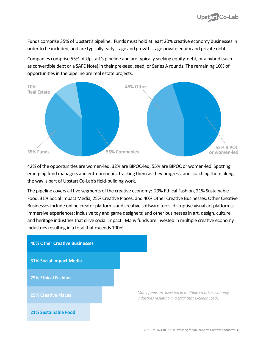

Funds comprise 35% of Upstart's pipeline. Funds must hold at least 20% creative economy businesses in order to be included, and are typically early stage and growth stage private equity and private debt.

Companies comprise 55% of Upstart's pipeline and are typically seeking equity, debt, or a hybrid (such as convertible debt or a SAFE Note) in their pre-seed, seed, or Series A rounds. The remaining 10% of opportunities in the pipeline are real estate projects.



42% of the opportunities are women-led; 32% are BIPOC-led; 55% are BIPOC or women-led. Spotting emerging fund managers and entrepreneurs, tracking them as they progress, and coaching them along the way is part of Upstart Co-Lab's field-building work.

The pipeline covers all five segments of the creative economy: 29% Ethical Fashion, 21% Sustainable Food, 31% Social Impact Media, 25% Creative Places, and 40% Other Creative Businesses. Other Creative Businesses include online creator platforms and creative software tools; disruptive visual art platforms; immersive experiences; inclusive toy and game designers; and other businesses in art, design, culture and heritage industries that drive social impact. Many funds are invested in multiple creative economy industries resulting in a total that exceeds 100%.

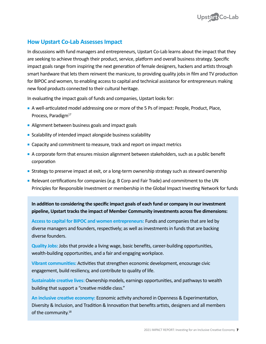

### **How Upstart Co-Lab Assesses Impact**

In discussions with fund managers and entrepreneurs, Upstart Co-Lab learns about the impact that they are seeking to achieve through their product, service, platform and overall business strategy. Specific impact goals range from inspiring the next generation of female designers, hackers and artists through smart hardware that lets them reinvent the manicure, to providing quality jobs in film and TV production for BIPOC and women, to enabling access to capital and technical assistance for entrepreneurs making new food products connected to their cultural heritage.

In evaluating the impact goals of funds and companies, Upstart looks for:

- <sup>n</sup> A well-articulated model addressing one or more of the 5 Ps of impact: People, Product, Place, Process, Paradigm<sup>17</sup>
- **Alignment between business goals and impact goals**
- **Example 1** Scalability of intended impact alongside business scalability
- **EXA** Capacity and commitment to measure, track and report on impact metrics
- <sup>n</sup> A corporate form that ensures mission alignment between stakeholders, such as a public benefit corporation
- **Strategy to preserve impact at exit, or a long-term ownership strategy such as steward ownership**
- **-** Relevant certifications for companies (e.g. B Corp and Fair Trade) and commitment to the UN Principles for Responsible Investment or membership in the Global Impact Investing Network for funds

**In addition to considering the specific impact goals of each fund or company in our investment pipeline, Upstart tracks the impact of Member Community investments across five dimensions:** 

**Access to capital for BIPOC and women entrepreneurs:** Funds and companies that are led by diverse managers and founders, respectively; as well as investments in funds that are backing diverse founders.

**Quality Jobs:** Jobs that provide a living wage, basic benefits, career-building opportunities, wealth-building opportunities, and a fair and engaging workplace.

**Vibrant communities:** Activities that strengthen economic development, encourage civic engagement, build resiliency, and contribute to quality of life.

**Sustainable creative lives:** Ownership models, earnings opportunities, and pathways to wealth building that support a "creative middle class."

**An inclusive creative economy:** Economic activity anchored in Openness & Experimentation, Diversity & Inclusion, and Tradition & Innovation that benefits artists, designers and all members of the community.<sup>18</sup>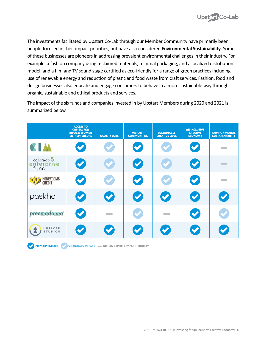

The investments facilitated by Upstart Co-Lab through our Member Community have primarily been people-focused in their impact priorities, but have also considered **Environmental Sustainability**. Some of these businesses are pioneers in addressing prevalent environmental challenges in their industry. For example, a fashion company using reclaimed materials, minimal packaging, and a localized distribution model; and a film and TV sound stage certified as eco-friendly for a range of green practices including use of renewable energy and reduction of plastic and food waste from craft services. Fashion, food and design businesses also educate and engage consumers to behave in a more sustainable way through organic, sustainable and ethical products and services.

The impact of the six funds and companies invested in by Upstart Members during 2020 and 2021 is summarized below.

|                                  | <b>ACCESS TO</b><br><b>CAPITAL FOR</b><br><b>BIPOC &amp; WOMEN</b><br><b>ENTREPRENEURS</b> | <b>QUALITY JOBS</b>  | <b>VIBRANT</b><br><b>COMMUNITIES</b> | <b>SUSTAINABLE</b><br><b>CREATIVE LIVES</b> | <b>AN INCLUSIVE</b><br><b>CREATIVE</b><br><b>ECONOMY</b> | <b>ENVIRONMENTAL</b><br><b>SUSTAINANBILITY</b> |
|----------------------------------|--------------------------------------------------------------------------------------------|----------------------|--------------------------------------|---------------------------------------------|----------------------------------------------------------|------------------------------------------------|
| <b>KIA</b>                       | $\blacktriangledown$                                                                       | $\blacktriangledown$ | $\blacktriangledown$                 | $\blacktriangledown$                        | $\bullet$                                                | <b>The College</b>                             |
| colorado :<br>enterprise<br>fund | $\bullet$                                                                                  | $\blacktriangledown$ | $\bullet$                            | $\blacktriangledown$                        | $\bullet$                                                | <b>Contract</b>                                |
| HONEYCOMB<br>CREDIT              | $\bullet$                                                                                  | $\blacktriangledown$ | $\bullet$                            | $\blacktriangledown$                        | $\bullet$                                                | <b>The Common</b>                              |
| paskho                           | $\blacktriangledown$                                                                       | $\bullet$            | $\bullet$                            | $\bullet$                                   | $\bullet$                                                | $\bullet$                                      |
| preemadonna <sup>®</sup>         | $\bullet$                                                                                  |                      | $\blacktriangledown$                 |                                             | $\sim$                                                   | $\blacktriangledown$                           |
| UPRIVER<br><b>STUDIOS</b>        | $\blacktriangledown$                                                                       | $\blacktriangledown$ | $\blacktriangledown$                 | $\blacktriangledown$                        | $\blacktriangledown$                                     | $\blacktriangledown$                           |

 **PRIMARY IMPACT SECONDARY IMPACT NOT AN EXPLICIT IMPACT PRIORITY**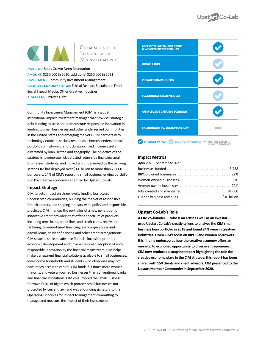

COMMUNITY INVESTMENT MANAGEMENT

**INVESTOR: Souls Grown Deep Foundation** 

**AMOUNT:** \$250,000 in 2020; additional \$250,000 in 2021 **INVESTMENT:** Community Investment Management **CREATIVE ECONOMY SECTOR:** Ethical Fashion, Sustainable Food, Social Impact Media, Other Creative Industries **ASSET CLASS:** Private Debt

Community Investment Management (CIM) is a global institutional impact investment manager that provides strategic debt funding to scale and demonstrate responsible innovation in lending to small businesses and other underserved communities in the United States and emerging markets. CIM partners with technology-enabled, socially responsible fintech lenders to back portfolios of high-yield, short duration, fixed income assets diversified by loan, sector, and geography. The objective of the strategy is to generate risk-adjusted returns by financing small businesses, students, and individuals underserved by the banking sector. CIM has deployed over \$1.6 billion to more than 78,000 borrowers. 24% of CIM's reporting small business lending portfolio is in the creative economy as defined by Upstart Co-Lab.

#### **Impact Strategy**

CIM targets impact on three levels: funding borrowers in underserved communities, building the market of responsible fintech lenders, and shaping industry-wide policy and responsible practices. CIM finances the portfolios of a new generation of innovative credit providers that offer a spectrum of products including term loans, credit lines and credit cards, receivable factoring, revenue-based financing, early wage access and payroll loans, student financing and other credit arrangements. CIM's capital seeks to advance financial inclusion, promote economic development and drive widespread adoption of such responsible innovation by the financial mainstream. CIM helps make transparent financial solutions available to small businesses, low-income households and students who otherwise may not have ready access to capital. CIM funds 2-3 times more women, minority, and veteran-owned businesses than conventional banks and financial institutions. CIM co-authored the Small Business Borrower's Bill of Rights which protects small businesses not protected by current law; and was a founding signatory to the Operating Principles for Impact Management committing to manage and measure the impact of their investments.



#### **Impact Metrics**

*April 2015 - September 2021*

| Women-owned businesses $\ldots \ldots \ldots \ldots \ldots \ldots \ldots \ldots \ldots \ldots 30\%$ |
|-----------------------------------------------------------------------------------------------------|
|                                                                                                     |
| Jobs created and maintained $\ldots \ldots \ldots \ldots \ldots \ldots \ldots$ 81,000               |
| Funded business revenues \$10 billion                                                               |
|                                                                                                     |

#### **Upstart Co-Lab's Role**

**A CIM co-founder — who is an artist as well as an investor used Upstart Co-Lab's creativity lens to analyze the CIM small business loan portfolio in 2018 and found 24% were in creative industries. Given CIM's focus on BIPOC and women borrowers, this finding underscores how the creative economy offers an on-ramp to economic opportunity to diverse entrepreneurs. CIM now produces a snapshot report highlighting the role the creative economy plays in the CIM strategy; this report has been shared with 150 clients and client advisors. CIM presented to the Upstart Member Community in September 2020.**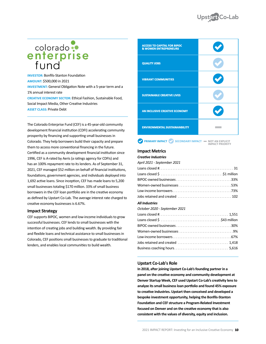# colorado :<br>
enterprise<br>
fund

**INVESTOR: Bonfils-Stanton Foundation AMOUNT:** \$500,000 in 2021 **INVESTMENT:** General Obligation Note with a 5-year term and a 1% annual interest rate **CREATIVE ECONOMY SECTOR:** Ethical Fashion, Sustainable Food,

Social Impact Media, Other Creative Industries **ASSET CLASS:** Private Debt

The Colorado Enterprise Fund (CEF) is a 45-year-old community development financial institution (CDFI) accelerating community prosperity by financing and supporting small businesses in Colorado. They help borrowers build their capacity and prepare them to access more conventional financing in the future. Certified as a community development financial institution since 1996, CEF is A-rated by Aeris (a ratings agency for CDFIs) and has an 100% repayment rate to its lenders. As of September 31, 2021, CEF managed \$52 million on behalf of financial institutions, foundations, government agencies, and individuals deployed into 1,692 active loans. Since inception, CEF has made loans to 5,200 small businesses totaling \$170 million. 33% of small business borrowers in the CEF loan portfolio are in the creative economy as defined by Upstart Co-Lab. The average interest rate charged to creative economy businesses is 6.67%.

#### **Impact Strategy**

CEF supports BIPOC, women and low-income individuals to grow successful businesses. CEF lends to small businesses with the intention of creating jobs and building wealth. By providing fair and flexible loans and technical assistance to small businesses in Colorado, CEF positions small businesses to graduate to traditional lenders, and enables local communities to build wealth.

| <b>ACCESS TO CAPITAL FOR BIPOC</b><br><b>&amp; WOMEN ENTREPRENEURS</b> |  |
|------------------------------------------------------------------------|--|
| <b>QUALITY JOBS</b>                                                    |  |
| <b>VIBRANT COMMUNITIES</b>                                             |  |
| <b>SUSTAINABLE CREATIVE LIVES</b>                                      |  |
| AN INCLUSIVE CREATIVE ECONOMY                                          |  |
| <b>ENVIRONMENTAL SUSTAINANBILITY</b>                                   |  |

 **PRIMARY IMPACT**  $\bigvee$  **SECONDARY IMPACT**  $\blacksquare$  **NOT AN EXPLICIT IMPACT** PRIORITY

#### **Impact Metrics**

*Creative Industries*

| April 2021 - September 2021   |  |
|-------------------------------|--|
|                               |  |
|                               |  |
|                               |  |
|                               |  |
|                               |  |
|                               |  |
| <b>All Industries</b>         |  |
| October 2020 - September 2021 |  |
|                               |  |
|                               |  |
|                               |  |
|                               |  |
|                               |  |
|                               |  |
|                               |  |
|                               |  |

#### **Upstart Co-Lab's Role**

**In 2018, after joining Upstart Co-Lab's founding partner in a panel on the creative economy and community development at Denver Startup Week, CEF used Upstart Co-Lab's creativity lens to analyze its small business loan portfolio and found 45% exposure to creative industries. Upstart then conceived and developed a bespoke investment opportunity, helping the Bonfils-Stanton Foundation and CEF structure a Program-Related Investment focused on Denver and on the creative economy that is also consistent with the values of diversity, equity and inclusion.**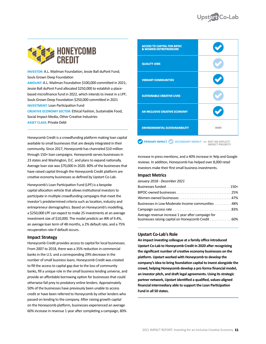

**INVESTOR:** A.L. Mailman Foundation; Jessie Ball duPont Fund; Souls Grown Deep Foundation

**AMOUNT:** A.L. Mailman Foundation \$100,000 committed in 2021; Jessie Ball duPont Fund allocated \$250,000 to establish a placebased microfinance fund in 2022, which intends to invest in a LPF; Souls Grown Deep Foundation \$250,000 committed in 2021 **INVESTMENT:** Loan Participation Fund

**CREATIVE ECONOMY SECTOR:** Ethical Fashion, Sustainable Food, Social Impact Media, Other Creative Industries **ASSET CLASS:** Private Debt

Honeycomb Credit is a crowdfunding platform making loan capital available to small businesses that are deeply integrated in their community. Since 2017, Honeycomb has channeled \$10 million through 150+ loan campaigns. Honeycomb serves businesses in 23 states and Washington, D.C. and plans to expand nationally. Average loan size was \$70,000 in 2020. 80% of the businesses that have raised capital through the Honeycomb Credit platform are creative economy businesses as defined by Upstart Co-Lab.

Honeycomb's Loan Participation Fund (LPF) is a bespoke capital allocation vehicle that allows institutional investors to participate in multiple crowdfunding campaigns that meet the investor's predetermined criteria such as location, industry and entrepreneur demographics. Based on Honeycomb's modelling, a \$250,000 LPF can expect to make 25 investments at an average investment size of \$10,000. The model predicts an IRR of 9.4%, an average loan term of 48 months, a 2% default rate, and a 75% recuperation rate if default occurs.

#### **Impact Strategy**

Honeycomb Credit provides access to capital for local businesses. From 2007 to 2018, there was a 35% reduction in commercial banks in the U.S. and a corresponding 29% decrease in the number of small business loans. Honeycomb Credit was created to fill the access to capital gap due to the loss of community banks, fill a unique role in the small business lending universe, and provide an affordable borrowing option for businesses that could otherwise fall prey to predatory online lenders. Approximately 50% of the businesses have previously been unable to access credit or have been referred to Honeycomb by other lenders who passed on lending to the company. After raising growth capital on the Honeycomb platform, businesses experienced an average 60% increase in revenue 1 year after completing a campaign, 80%

| <b>ACCESS TO CAPITAL FOR BIPOC</b><br><b>&amp; WOMEN ENTREPRENEURS</b> |                                             |
|------------------------------------------------------------------------|---------------------------------------------|
| <b>QUALITY JOBS</b>                                                    |                                             |
| <b>VIBRANT COMMUNITIES</b>                                             |                                             |
| <b>SUSTAINABLE CREATIVE LIVES</b>                                      |                                             |
| AN INCLUSIVE CREATIVE ECONOMY                                          |                                             |
| <b>ENVIRONMENTAL SUSTAINANBILITY</b>                                   |                                             |
| <b>PRIMARY IMPACT</b><br><b>SECONDARY IMPACT</b>                       | - NOT AN EXPLICIT<br><b>IMPACT PRIORITY</b> |

increase in press mentions, and a 40% increase in Yelp and Google reviews. In addition, Honeycomb has helped over 8,000 retail investors make their first small business investments.

#### **Impact Metrics**

| January 2018 - December 2021                                                                              |  |
|-----------------------------------------------------------------------------------------------------------|--|
|                                                                                                           |  |
|                                                                                                           |  |
|                                                                                                           |  |
| Businesses in Low-Moderate Income communities 48%                                                         |  |
|                                                                                                           |  |
| Average revenue increase 1 year after campaign for<br>businesses raising capital on Honeycomb Credit  60% |  |

#### **Upstart Co-Lab's Role**

**An impact investing colleague at a family office introduced Upstart Co-Lab to Honeycomb Credit in 2020 after recognizing the significant number of creative economy businesses on the platform. Upstart worked with Honeycomb to develop the company's idea to bring foundation capital to invest alongside the crowd, helping Honeycomb develop a pro forma financial model, an investor pitch, and draft legal agreements. Using its strategic partner network, Upstart identified a qualified, values-aligned financial intermediary able to support the Loan Participation Fund in all 50 states.**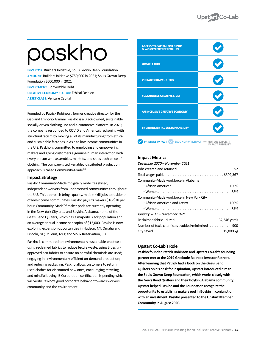# paskho

**INVESTOR:** Builders Initiative, Souls Grown Deep Foundation **AMOUNT:** Builders Initiative \$750,000 in 2021; Souls Grown Deep Foundation \$600,000 in 2021 **INVESTMENT:** Convertible Debt **CREATIVE ECONOMY SECTOR:** Ethical Fashion **ASSET CLASS:** Venture Capital

Founded by Patrick Robinson, former creative director for the Gap and Emporio Armani, Paskho is a Black-owned, sustainable, socially-driven clothing line and e-commerce platform. In 2020, the company responded to COVID and America's reckoning with structural racism by moving all of its manufacturing from ethical and sustainable factories in Asia to low income communities in the U.S. Paskho is committed to employing and empowering makers and giving customers a genuine human interaction with every person who assembles, markets, and ships each piece of clothing. The company's tech-enabled distributed production approach is called Community-Made™.

#### **Impact Strategy**

Paskho Community-Made™ digitally mobilizes skilled, independent workers from underserved communities throughout the U.S. This approach brings quality, middle skill jobs to residents of low-income communities. Paskho pays its makers \$16-\$28 per hour. Community-Made™ maker pods are currently operating in the New York City area and Boykin, Alabama, home of the Gee's Bend Quilters, which has a majority Black population and an average annual income per capita of \$12,000. Paskho is now exploring expansion opportunities in Hudson, NY; Omaha and Lincoln, NE; St Louis, MO; and Sioux Reservation, SD.

Paskho is committed to environmentally sustainable practices: using reclaimed fabrics to reduce textile waste, using Bluesignapproved eco-fabrics to ensure no harmful chemicals are used; engaging in environmentally efficient on-demand production; and reducing packaging. Paskho allows customers to return used clothes for discounted new ones, encouraging recycling and mindful buying. B Corporation certification is pending which will verify Paskho's good corporate behavior towards workers, community and the environment.

| <b>ACCESS TO CAPITAL FOR BIPOC</b><br><b>&amp; WOMEN ENTREPRENEURS</b> |                                             |
|------------------------------------------------------------------------|---------------------------------------------|
| <b>QUALITY JOBS</b>                                                    |                                             |
| <b>VIBRANT COMMUNITIES</b>                                             |                                             |
| <b>SUSTAINABLE CREATIVE LIVES</b>                                      |                                             |
| AN INCLUSIVE CREATIVE ECONOMY                                          |                                             |
| <b>ENVIRONMENTAL SUSTAINANBILITY</b>                                   |                                             |
| <b>PRIMARY IMPACT (V)</b><br><b>SECONDARY IMPACT</b>                   | - NOT AN EXPLICIT<br><b>IMPACT PRIORITY</b> |

#### **Impact Metrics**

| December 2020 – November 2021                   |
|-------------------------------------------------|
|                                                 |
|                                                 |
| Community-Made workforce in Alabama             |
|                                                 |
|                                                 |
| Community-Made workforce in New York City       |
| . African American and Latinx100%               |
|                                                 |
| January 2017 – November 2021                    |
| Reclaimed fabric utilized132,346 yards          |
| Number of toxic chemicals avoided/minimized 900 |
|                                                 |
|                                                 |

#### **Upstart Co-Lab's Role**

**Paskho founder Patrick Robinson and Upstart Co-Lab's founding partner met at the 2019 Gratitude Railroad Investor Retreat. After learning that Patrick had a book on the Gee's Bend Quilters on his desk for inspiration, Upstart introduced him to the Souls Grown Deep Foundation, which works closely with the Gee's Bend Quilters and their Boykin, Alabama community. Upstart helped Paskho and the Foundation recognize the opportunity to establish a makers pod in Boykin in conjunction with an investment. Paskho presented to the Upstart Member Community in August 2020.**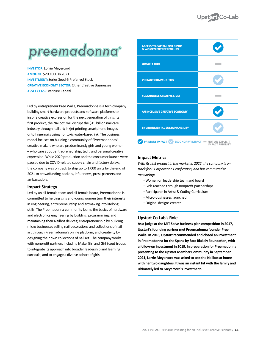

# preemadonna®

**INVESTOR:** Lorrie Meyercord **AMOUNT:** \$200,000 in 2021 **INVESTMENT:** Series Seed-5 Preferred Stock **CREATIVE ECONOMY SECTOR:** Other Creative Businesses **ASSET CLASS:** Venture Capital

Led by entrepreneur Pree Walia, Preemadonna is a tech company building smart hardware products and software platforms to inspire creative expression for the next generation of girls. Its first product, the Nailbot, will disrupt the \$15 billion nail care industry through nail art; inkjet printing smartphone images onto fingernails using nontoxic water-based ink. The business model focuses on building a community of "Preemadonnas" – creative makers who are predominantly girls and young women – who care about entrepreneurship, tech, and personal creative expression. While 2020 production and the consumer launch were paused due to COVID-related supply chain and factory delays, the company was on track to ship up to 1,000 units by the end of 2021 to crowdfunding backers, influencers, press partners and ambassadors.

#### **Impact Strategy**

Led by an all-female team and all-female board, Preemadonna is committed to helping girls and young women turn their interests in engineering, entrepreneurship and artmaking into lifelong skills. The Preemadonna community learns the basics of hardware and electronics engineering by building, programming, and maintaining their Nailbot devices; entrepreneurship by building micro businesses selling nail decorations and collections of nail art through Preemadonna's online platform; and creativity by designing their own collections of nail art. The company works with nonprofit partners including MakerGirl and Girl Scout troops to integrate its approach into broader leadership and learning curricula; and to engage a diverse cohort of girls.

| <b>ACCESS TO CAPITAL FOR BIPOC</b><br><b>&amp; WOMEN ENTREPRENEURS</b> |                                                            |
|------------------------------------------------------------------------|------------------------------------------------------------|
| <b>QUALITY JOBS</b>                                                    |                                                            |
| <b>VIBRANT COMMUNITIES</b>                                             |                                                            |
| <b>SUSTAINABLE CREATIVE LIVES</b>                                      |                                                            |
| AN INCLUSIVE CREATIVE ECONOMY                                          |                                                            |
| <b>ENVIRONMENTAL SUSTAINANBILITY</b>                                   |                                                            |
| <b>PRIMARY IMPACT</b><br><b>SECONDARY IMPACT</b>                       | <b>NOT AN EXPLICIT</b><br>$\sim$<br><b>IMPACT PRIORITY</b> |

#### **Impact Metrics**

*With its first product in the market in 2022, the company is on track for B Corporation Certification, and has committed to measuring:*

- Women on leadership team and board
- Girls reached through nonprofit partnerships
- Participants in Artist & Coding Curriculum
- Micro-businesses launched
- Original designs created

#### **Upstart Co-Lab's Role**

**As a judge at the MIT Solve business plan competition in 2017, Upstart's founding partner met Preemadonna founder Pree Walia. In 2018, Upstart recommended and closed an investment in Preemadonna for the Spanx by Sara Blakely Foundation, with a follow-on investment in 2019. In preparation for Preemadonna presenting to the Upstart Member Community in September 2021, Lorrie Meyercord was asked to test the Nailbot at home with her two daughters. It was an instant hit with the family and ultimately led to Meyercord's investment.**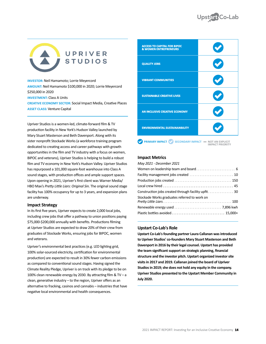# UPRIVER **STUDIOS**

**INVESTOR:** Neil Hamamoto; Lorrie Meyercord **AMOUNT:** Neil Hamamoto \$100,000 in 2020; Lorrie Meyercord \$250,000 in 2020 **INVESTMENT: Class A Units CREATIVE ECONOMY SECTOR:** Social Impact Media, Creative Places **ASSET CLASS:** Venture Capital

Upriver Studios is a women-led, climate-forward film & TV production facility in New York's Hudson Valley launched by Mary Stuart Masterson and Beth Davenport. Along with its sister nonprofit Stockade Works (a workforce training program dedicated to creating access and career pathways with growth opportunities in the film and TV industry with a focus on women, BIPOC and veterans), Upriver Studios is helping to build a robust film and TV economy in New York's Hudson Valley. Upriver Studios has repurposed a 101,000 square-foot warehouse into Class A sound stages, with production offices and ample support spaces. Upon opening in 2021, Upriver's first client was Warner Media/ HBO Max's *Pretty Little Liars: Original Sin*. The original sound stage facility has 100% occupancy for up to 3 years, and expansion plans are underway.

#### **Impact Strategy**

In its first five years, Upriver expects to create 2,000 local jobs, including crew jobs that offer a pathway to union positions paying \$75,000-\$200,000 annually with benefits. Productions filming at Upriver Studios are expected to draw 20% of their crew from graduates of Stockade Works, ensuring jobs for BIPOC, women and veterans.

Upriver's environmental best practices (e.g. LED lighting grid, 100% solar-sourced electricity, certification for environmental production) are expected to result in 30% fewer carbon emissions as compared to conventional sound stages. Having signed the Climate Reality Pledge, Upriver is on track with its pledge to be on 100% clean renewable energy by 2030. By attracting film & TV – a clean, generative industry – to the region, Upriver offers as an alternative to fracking, casinos and cannabis – industries that have negative local environmental and health consequences.

| <b>ACCESS TO CAPITAL FOR BIPOC</b><br><b>&amp; WOMEN ENTREPRENEURS</b> |  |
|------------------------------------------------------------------------|--|
| <b>QUALITY JOBS</b>                                                    |  |
| <b>VIBRANT COMMUNITIES</b>                                             |  |
| <b>SUSTAINABLE CREATIVE LIVES</b>                                      |  |
| AN INCLUSIVE CREATIVE ECONOMY                                          |  |
| <b>ENVIRONMENTAL SUSTAINANBILITY</b>                                   |  |
|                                                                        |  |

 **PRIMARY IMPACT**  $\bigvee$  **SECONDARY IMPACT**  $\blacksquare$  **NOT AN EXPLICIT IMPACT** PRIORITY

#### **Impact Metrics**

#### *May 2021 - December 2021*

| Stockade Works graduates referred to work on |  |
|----------------------------------------------|--|
|                                              |  |
|                                              |  |
|                                              |  |
|                                              |  |

#### **Upstart Co-Lab's Role**

**Upstart Co-Lab's founding partner Laura Callanan was introduced to Upriver Studios' co-founders Mary Stuart Masterson and Beth Davenport in 2016 by their legal counsel. Upstart has provided the team significant support on strategic planning, financial structure and the investor pitch. Upstart organized investor site visits in 2017 and 2019. Callanan joined the board of Upriver Studios in 2019; she does not hold any equity in the company. Upriver Studios presented to the Upstart Member Community in July 2020.**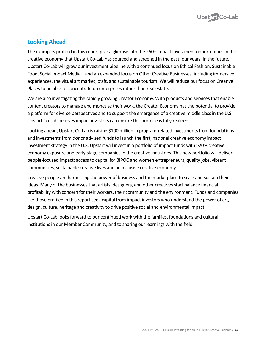

# **Looking Ahead**

The examples profiled in this report give a glimpse into the 250+ impact investment opportunities in the creative economy that Upstart Co-Lab has sourced and screened in the past four years. In the future, Upstart Co-Lab will grow our investment pipeline with a continued focus on Ethical Fashion, Sustainable Food, Social Impact Media – and an expanded focus on Other Creative Businesses, including immersive experiences, the visual art market, craft, and sustainable tourism. We will reduce our focus on Creative Places to be able to concentrate on enterprises rather than real estate.

We are also investigating the rapidly growing Creator Economy. With products and services that enable content creators to manage and monetize their work, the Creator Economy has the potential to provide a platform for diverse perspectives and to support the emergence of a creative middle class in the U.S. Upstart Co-Lab believes impact investors can ensure this promise is fully realized.

Looking ahead, Upstart Co-Lab is raising \$100 million in program-related investments from foundations and investments from donor advised funds to launch the first, national creative economy impact investment strategy in the U.S. Upstart will invest in a portfolio of impact funds with >20% creative economy exposure and early-stage companies in the creative industries. This new portfolio will deliver people-focused impact: access to capital for BIPOC and women entrepreneurs, quality jobs, vibrant communities, sustainable creative lives and an inclusive creative economy.

Creative people are harnessing the power of business and the marketplace to scale and sustain their ideas. Many of the businesses that artists, designers, and other creatives start balance financial profitability with concern for their workers, their community and the environment. Funds and companies like those profiled in this report seek capital from impact investors who understand the power of art, design, culture, heritage and creativity to drive positive social and environmental impact.

Upstart Co-Lab looks forward to our continued work with the families, foundations and cultural institutions in our Member Community, and to sharing our learnings with the field.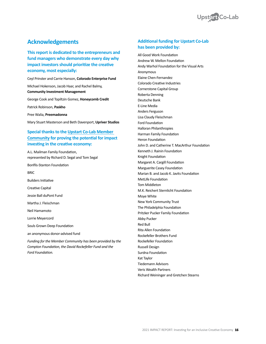

# **Acknowledgements**

**This report is dedicated to the entrepreneurs and fund managers who demonstrate every day why impact investors should prioritize the creative economy, most especially:**

Ceyl Prinster and Carrie Hanson, **Colorado Enterprise Fund**

Michael Hokenson, Jacob Haar, and Rachel Balmy, **Community Investment Management**

George Cook and Topiltzin Gomez, **Honeycomb Credit**

Patrick Robinson, **Paskho**

Pree Walia, **Preemadonna**

Mary Stuart Masterson and Beth Davenport, **Upriver Studios**

#### **Special thanks to the [Upstart Co-Lab Member](https://upstartco-lab.org/member-community/
)  [Community](https://upstartco-lab.org/member-community/
) for proving the potential for impact investing in the creative economy:**

A.L. Mailman Family Foundation, represented by Richard D. Segal and Tom Segal

Bonfils-Stanton Foundation

**BRIC** 

Builders Initiative

Creative Capital

Jessie Ball duPont Fund

Martha J. Fleischman

Neil Hamamoto

Lorrie Meyercord

Souls Grown Deep Foundation

an anonymous donor-advised fund

*Funding for the Member Community has been provided by the Compton Foundation, the David Rockefeller Fund and the Ford Foundation.*

#### **Additional funding for Upstart Co-Lab has been provided by:**

All Good Work Foundation Andrew W. Mellon Foundation Andy Warhol Foundation for the Visual Arts Anonymous Elaine Chen-Fernandez Colorado Creative Industries Cornerstone Capital Group Roberta Denning Deutsche Bank E-Line Media Anders Ferguson Lisa Claudy Fleischman Ford Foundation Halloran Philanthropies Harman Family Foundation Heron Foundation John D. and Catherine T. MacArthur Foundation Kenneth J. Rainin Foundation Knight Foundation Margaret A. Cargill Foundation Marguerite Casey Foundation Marian B. and Jacob K. Javits Foundation MetLife Foundation Tom Middleton M.K. Reichert Sternlicht Foundation Moye White New York Community Trust The Philadelphia Foundation Pritzker Pucker Family Foundation Abby Pucker Red Bull Rita Allen Foundation Rockefeller Brothers Fund Rockefeller Foundation Russell Design Surdna Foundation Kat Taylor Tiedemann Advisors Veris Wealth Partners Richard Weininger and Gretchen Stearns